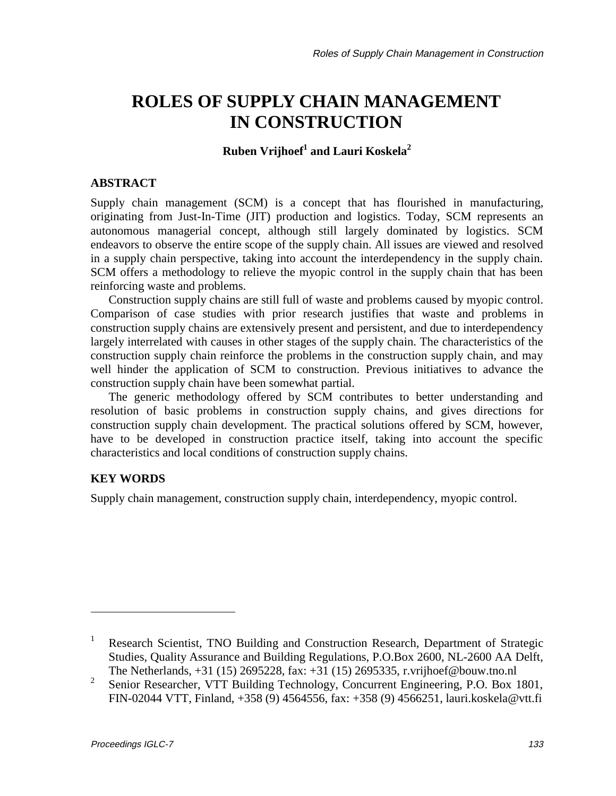# **ROLES OF SUPPLY CHAIN MANAGEMENT IN CONSTRUCTION**

 ${\bf R}$ uben  ${\bf V}$ rijhoef $^1$  and Lauri Koskela $^2$ 

## **ABSTRACT**

Supply chain management (SCM) is a concept that has flourished in manufacturing, originating from Just-In-Time (JIT) production and logistics. Today, SCM represents an autonomous managerial concept, although still largely dominated by logistics. SCM endeavors to observe the entire scope of the supply chain. All issues are viewed and resolved in a supply chain perspective, taking into account the interdependency in the supply chain. SCM offers a methodology to relieve the myopic control in the supply chain that has been reinforcing waste and problems.

Construction supply chains are still full of waste and problems caused by myopic control. Comparison of case studies with prior research justifies that waste and problems in construction supply chains are extensively present and persistent, and due to interdependency largely interrelated with causes in other stages of the supply chain. The characteristics of the construction supply chain reinforce the problems in the construction supply chain, and may well hinder the application of SCM to construction. Previous initiatives to advance the construction supply chain have been somewhat partial.

The generic methodology offered by SCM contributes to better understanding and resolution of basic problems in construction supply chains, and gives directions for construction supply chain development. The practical solutions offered by SCM, however, have to be developed in construction practice itself, taking into account the specific characteristics and local conditions of construction supply chains.

# **KEY WORDS**

Supply chain management, construction supply chain, interdependency, myopic control.

<sup>1</sup> Research Scientist, TNO Building and Construction Research, Department of Strategic Studies, Quality Assurance and Building Regulations, P.O.Box 2600, NL-2600 AA Delft, The Netherlands, +31 (15) 2695228, fax: +31 (15) 2695335, r.vrijhoef@bouw.tno.nl

<sup>2</sup> Senior Researcher, VTT Building Technology, Concurrent Engineering, P.O. Box 1801, FIN-02044 VTT, Finland, +358 (9) 4564556, fax: +358 (9) 4566251, lauri.koskela@vtt.fi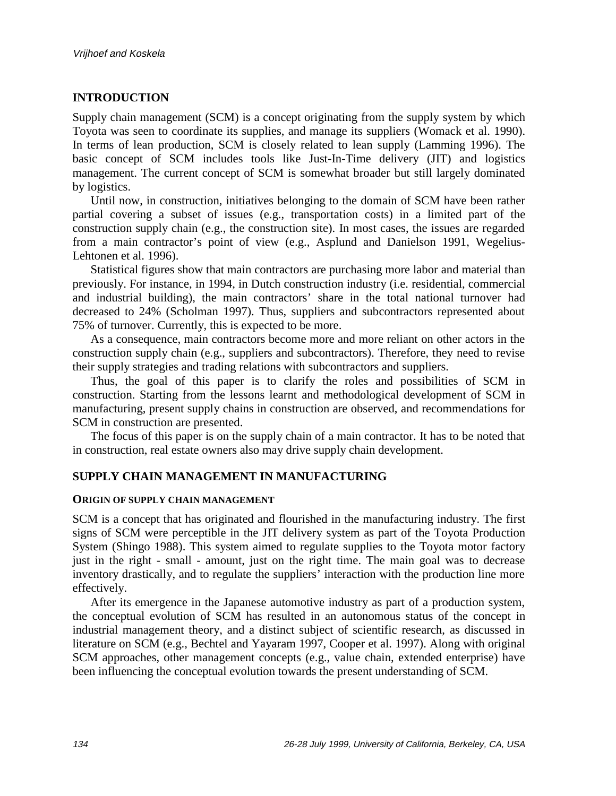# **INTRODUCTION**

Supply chain management (SCM) is a concept originating from the supply system by which Toyota was seen to coordinate its supplies, and manage its suppliers (Womack et al. 1990). In terms of lean production, SCM is closely related to lean supply (Lamming 1996). The basic concept of SCM includes tools like Just-In-Time delivery (JIT) and logistics management. The current concept of SCM is somewhat broader but still largely dominated by logistics.

Until now, in construction, initiatives belonging to the domain of SCM have been rather partial covering a subset of issues (e.g., transportation costs) in a limited part of the construction supply chain (e.g., the construction site). In most cases, the issues are regarded from a main contractor's point of view (e.g., Asplund and Danielson 1991, Wegelius-Lehtonen et al. 1996).

Statistical figures show that main contractors are purchasing more labor and material than previously. For instance, in 1994, in Dutch construction industry (i.e. residential, commercial and industrial building), the main contractors' share in the total national turnover had decreased to 24% (Scholman 1997). Thus, suppliers and subcontractors represented about 75% of turnover. Currently, this is expected to be more.

As a consequence, main contractors become more and more reliant on other actors in the construction supply chain (e.g., suppliers and subcontractors). Therefore, they need to revise their supply strategies and trading relations with subcontractors and suppliers.

Thus, the goal of this paper is to clarify the roles and possibilities of SCM in construction. Starting from the lessons learnt and methodological development of SCM in manufacturing, present supply chains in construction are observed, and recommendations for SCM in construction are presented.

The focus of this paper is on the supply chain of a main contractor. It has to be noted that in construction, real estate owners also may drive supply chain development.

## **SUPPLY CHAIN MANAGEMENT IN MANUFACTURING**

#### **ORIGIN OF SUPPLY CHAIN MANAGEMENT**

SCM is a concept that has originated and flourished in the manufacturing industry. The first signs of SCM were perceptible in the JIT delivery system as part of the Toyota Production System (Shingo 1988). This system aimed to regulate supplies to the Toyota motor factory just in the right - small - amount, just on the right time. The main goal was to decrease inventory drastically, and to regulate the suppliers' interaction with the production line more effectively.

After its emergence in the Japanese automotive industry as part of a production system, the conceptual evolution of SCM has resulted in an autonomous status of the concept in industrial management theory, and a distinct subject of scientific research, as discussed in literature on SCM (e.g., Bechtel and Yayaram 1997, Cooper et al. 1997). Along with original SCM approaches, other management concepts (e.g., value chain, extended enterprise) have been influencing the conceptual evolution towards the present understanding of SCM.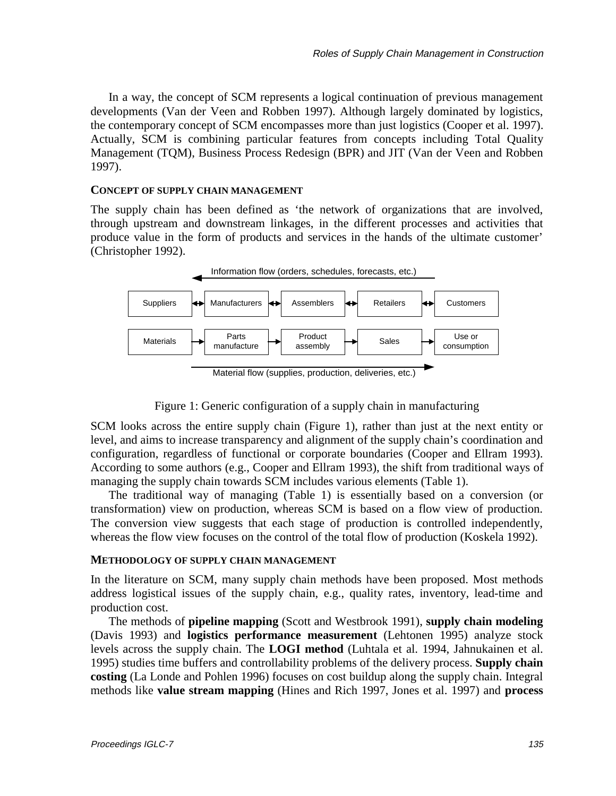In a way, the concept of SCM represents a logical continuation of previous management developments (Van der Veen and Robben 1997). Although largely dominated by logistics, the contemporary concept of SCM encompasses more than just logistics (Cooper et al. 1997). Actually, SCM is combining particular features from concepts including Total Quality Management (TQM), Business Process Redesign (BPR) and JIT (Van der Veen and Robben 1997).

#### **CONCEPT OF SUPPLY CHAIN MANAGEMENT**

The supply chain has been defined as 'the network of organizations that are involved, through upstream and downstream linkages, in the different processes and activities that produce value in the form of products and services in the hands of the ultimate customer' (Christopher 1992).



Material flow (supplies, production, deliveries, etc.)

Figure 1: Generic configuration of a supply chain in manufacturing

SCM looks across the entire supply chain (Figure 1), rather than just at the next entity or level, and aims to increase transparency and alignment of the supply chain's coordination and configuration, regardless of functional or corporate boundaries (Cooper and Ellram 1993). According to some authors (e.g., Cooper and Ellram 1993), the shift from traditional ways of managing the supply chain towards SCM includes various elements (Table 1).

The traditional way of managing (Table 1) is essentially based on a conversion (or transformation) view on production, whereas SCM is based on a flow view of production. The conversion view suggests that each stage of production is controlled independently, whereas the flow view focuses on the control of the total flow of production (Koskela 1992).

#### **METHODOLOGY OF SUPPLY CHAIN MANAGEMENT**

In the literature on SCM, many supply chain methods have been proposed. Most methods address logistical issues of the supply chain, e.g., quality rates, inventory, lead-time and production cost.

The methods of **pipeline mapping** (Scott and Westbrook 1991), **supply chain modeling** (Davis 1993) and **logistics performance measurement** (Lehtonen 1995) analyze stock levels across the supply chain. The **LOGI method** (Luhtala et al. 1994, Jahnukainen et al. 1995) studies time buffers and controllability problems of the delivery process. **Supply chain costing** (La Londe and Pohlen 1996) focuses on cost buildup along the supply chain. Integral methods like **value stream mapping** (Hines and Rich 1997, Jones et al. 1997) and **process**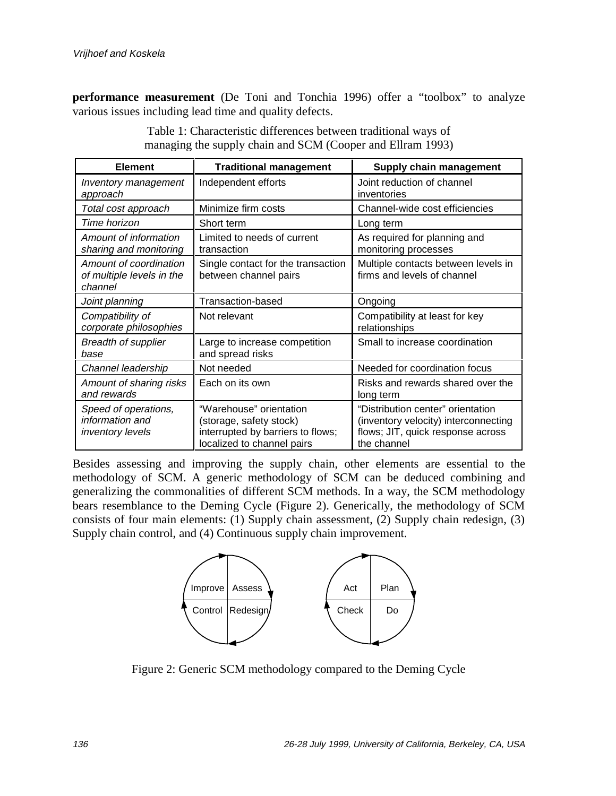**performance measurement** (De Toni and Tonchia 1996) offer a "toolbox" to analyze various issues including lead time and quality defects.

| <b>Element</b>                                                 | <b>Traditional management</b>                                                                                         | Supply chain management                                                                                                       |
|----------------------------------------------------------------|-----------------------------------------------------------------------------------------------------------------------|-------------------------------------------------------------------------------------------------------------------------------|
| Inventory management<br>approach                               | Independent efforts                                                                                                   | Joint reduction of channel<br>inventories                                                                                     |
| Total cost approach                                            | Minimize firm costs                                                                                                   | Channel-wide cost efficiencies                                                                                                |
| Time horizon                                                   | Short term                                                                                                            | Long term                                                                                                                     |
| Amount of information<br>sharing and monitoring                | Limited to needs of current<br>transaction                                                                            | As required for planning and<br>monitoring processes                                                                          |
| Amount of coordination<br>of multiple levels in the<br>channel | Single contact for the transaction<br>between channel pairs                                                           | Multiple contacts between levels in<br>firms and levels of channel                                                            |
| Joint planning                                                 | <b>Transaction-based</b>                                                                                              | Ongoing                                                                                                                       |
| Compatibility of<br>corporate philosophies                     | Not relevant                                                                                                          | Compatibility at least for key<br>relationships                                                                               |
| <b>Breadth of supplier</b><br>base                             | Large to increase competition<br>and spread risks                                                                     | Small to increase coordination                                                                                                |
| Channel leadership                                             | Not needed                                                                                                            | Needed for coordination focus                                                                                                 |
| Amount of sharing risks<br>and rewards                         | Each on its own                                                                                                       | Risks and rewards shared over the<br>long term                                                                                |
| Speed of operations,<br>information and<br>inventory levels    | "Warehouse" orientation<br>(storage, safety stock)<br>interrupted by barriers to flows;<br>localized to channel pairs | "Distribution center" orientation<br>(inventory velocity) interconnecting<br>flows; JIT, quick response across<br>the channel |

Table 1: Characteristic differences between traditional ways of managing the supply chain and SCM (Cooper and Ellram 1993)

Besides assessing and improving the supply chain, other elements are essential to the methodology of SCM. A generic methodology of SCM can be deduced combining and generalizing the commonalities of different SCM methods. In a way, the SCM methodology bears resemblance to the Deming Cycle (Figure 2). Generically, the methodology of SCM consists of four main elements: (1) Supply chain assessment, (2) Supply chain redesign, (3) Supply chain control, and (4) Continuous supply chain improvement.



Figure 2: Generic SCM methodology compared to the Deming Cycle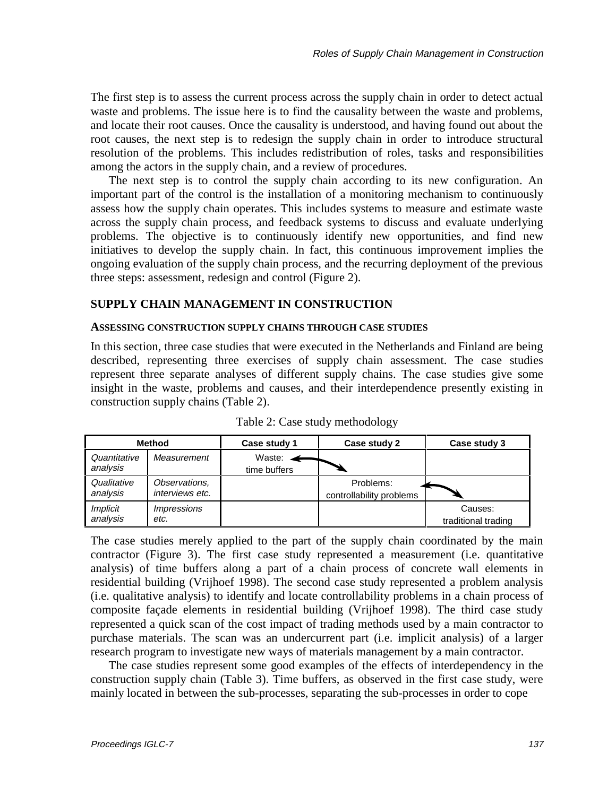The first step is to assess the current process across the supply chain in order to detect actual waste and problems. The issue here is to find the causality between the waste and problems, and locate their root causes. Once the causality is understood, and having found out about the root causes, the next step is to redesign the supply chain in order to introduce structural resolution of the problems. This includes redistribution of roles, tasks and responsibilities among the actors in the supply chain, and a review of procedures.

The next step is to control the supply chain according to its new configuration. An important part of the control is the installation of a monitoring mechanism to continuously assess how the supply chain operates. This includes systems to measure and estimate waste across the supply chain process, and feedback systems to discuss and evaluate underlying problems. The objective is to continuously identify new opportunities, and find new initiatives to develop the supply chain. In fact, this continuous improvement implies the ongoing evaluation of the supply chain process, and the recurring deployment of the previous three steps: assessment, redesign and control (Figure 2).

#### **SUPPLY CHAIN MANAGEMENT IN CONSTRUCTION**

#### **ASSESSING CONSTRUCTION SUPPLY CHAINS THROUGH CASE STUDIES**

In this section, three case studies that were executed in the Netherlands and Finland are being described, representing three exercises of supply chain assessment. The case studies represent three separate analyses of different supply chains. The case studies give some insight in the waste, problems and causes, and their interdependence presently existing in construction supply chains (Table 2).

|                             | <b>Method</b>                     | Case study 1                        | Case study 2                          | Case study 3                   |
|-----------------------------|-----------------------------------|-------------------------------------|---------------------------------------|--------------------------------|
| Quantitative<br>analysis    | Measurement                       | Waste: $\leftarrow$<br>time buffers |                                       |                                |
| Qualitative<br>analysis     | Observations,<br>interviews etc.  |                                     | Problems:<br>controllability problems |                                |
| <i>Implicit</i><br>analysis | <i><b>Impressions</b></i><br>etc. |                                     |                                       | Causes:<br>traditional trading |

Table 2: Case study methodology

The case studies merely applied to the part of the supply chain coordinated by the main contractor (Figure 3). The first case study represented a measurement (i.e. quantitative analysis) of time buffers along a part of a chain process of concrete wall elements in residential building (Vrijhoef 1998). The second case study represented a problem analysis (i.e. qualitative analysis) to identify and locate controllability problems in a chain process of composite façade elements in residential building (Vrijhoef 1998). The third case study represented a quick scan of the cost impact of trading methods used by a main contractor to purchase materials. The scan was an undercurrent part (i.e. implicit analysis) of a larger research program to investigate new ways of materials management by a main contractor.

The case studies represent some good examples of the effects of interdependency in the construction supply chain (Table 3). Time buffers, as observed in the first case study, were mainly located in between the sub-processes, separating the sub-processes in order to cope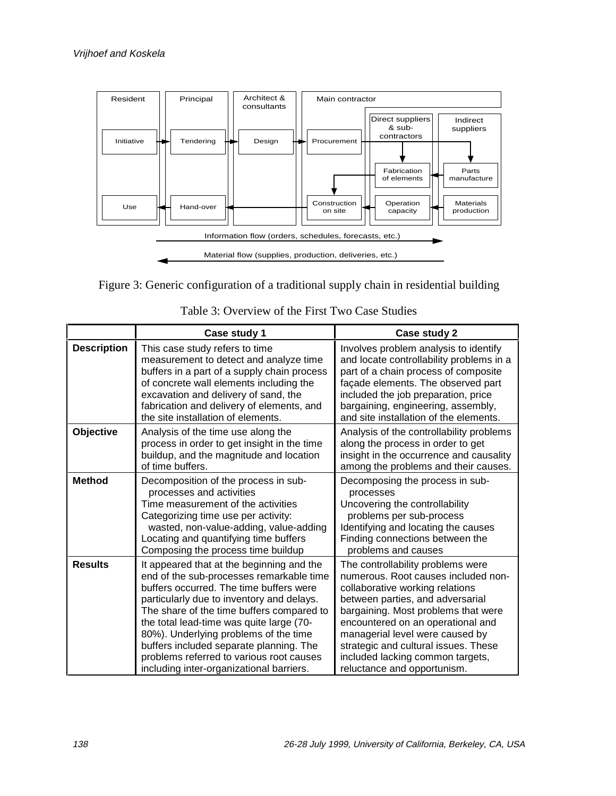



|                    | Case study 1                                                                                                                                                                                                                                                                                                                                                                                                                                       | Case study 2                                                                                                                                                                                                                                                                                                                                                              |
|--------------------|----------------------------------------------------------------------------------------------------------------------------------------------------------------------------------------------------------------------------------------------------------------------------------------------------------------------------------------------------------------------------------------------------------------------------------------------------|---------------------------------------------------------------------------------------------------------------------------------------------------------------------------------------------------------------------------------------------------------------------------------------------------------------------------------------------------------------------------|
| <b>Description</b> | This case study refers to time<br>measurement to detect and analyze time<br>buffers in a part of a supply chain process<br>of concrete wall elements including the<br>excavation and delivery of sand, the<br>fabrication and delivery of elements, and<br>the site installation of elements.                                                                                                                                                      | Involves problem analysis to identify<br>and locate controllability problems in a<br>part of a chain process of composite<br>façade elements. The observed part<br>included the job preparation, price<br>bargaining, engineering, assembly,<br>and site installation of the elements.                                                                                    |
| Objective          | Analysis of the time use along the<br>process in order to get insight in the time<br>buildup, and the magnitude and location<br>of time buffers.                                                                                                                                                                                                                                                                                                   | Analysis of the controllability problems<br>along the process in order to get<br>insight in the occurrence and causality<br>among the problems and their causes.                                                                                                                                                                                                          |
| <b>Method</b>      | Decomposition of the process in sub-<br>processes and activities<br>Time measurement of the activities<br>Categorizing time use per activity:<br>wasted, non-value-adding, value-adding<br>Locating and quantifying time buffers<br>Composing the process time buildup                                                                                                                                                                             | Decomposing the process in sub-<br>processes<br>Uncovering the controllability<br>problems per sub-process<br>Identifying and locating the causes<br>Finding connections between the<br>problems and causes                                                                                                                                                               |
| <b>Results</b>     | It appeared that at the beginning and the<br>end of the sub-processes remarkable time<br>buffers occurred. The time buffers were<br>particularly due to inventory and delays.<br>The share of the time buffers compared to<br>the total lead-time was quite large (70-<br>80%). Underlying problems of the time<br>buffers included separate planning. The<br>problems referred to various root causes<br>including inter-organizational barriers. | The controllability problems were<br>numerous. Root causes included non-<br>collaborative working relations<br>between parties, and adversarial<br>bargaining. Most problems that were<br>encountered on an operational and<br>managerial level were caused by<br>strategic and cultural issues. These<br>included lacking common targets,<br>reluctance and opportunism. |

Table 3: Overview of the First Two Case Studies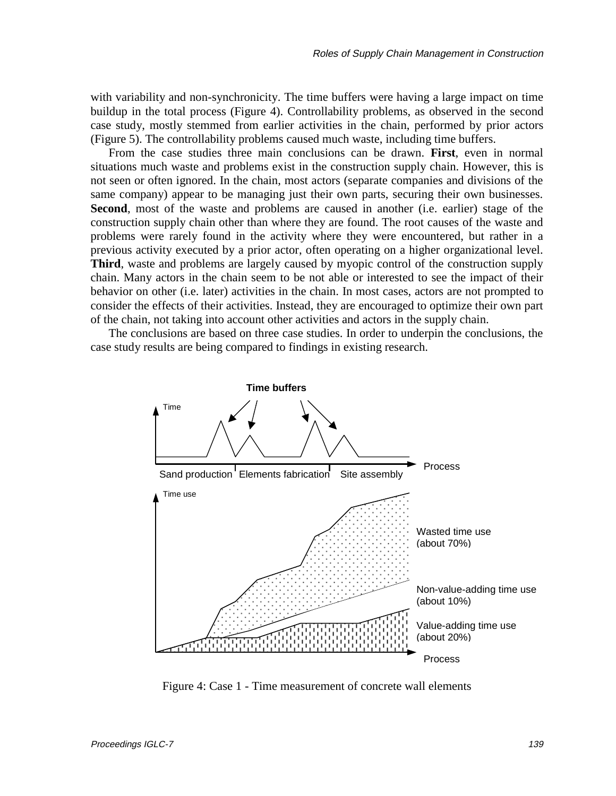with variability and non-synchronicity. The time buffers were having a large impact on time buildup in the total process (Figure 4). Controllability problems, as observed in the second case study, mostly stemmed from earlier activities in the chain, performed by prior actors (Figure 5). The controllability problems caused much waste, including time buffers.

From the case studies three main conclusions can be drawn. **First**, even in normal situations much waste and problems exist in the construction supply chain. However, this is not seen or often ignored. In the chain, most actors (separate companies and divisions of the same company) appear to be managing just their own parts, securing their own businesses. **Second**, most of the waste and problems are caused in another (i.e. earlier) stage of the construction supply chain other than where they are found. The root causes of the waste and problems were rarely found in the activity where they were encountered, but rather in a previous activity executed by a prior actor, often operating on a higher organizational level. **Third**, waste and problems are largely caused by myopic control of the construction supply chain. Many actors in the chain seem to be not able or interested to see the impact of their behavior on other (i.e. later) activities in the chain. In most cases, actors are not prompted to consider the effects of their activities. Instead, they are encouraged to optimize their own part of the chain, not taking into account other activities and actors in the supply chain.

The conclusions are based on three case studies. In order to underpin the conclusions, the case study results are being compared to findings in existing research.



Figure 4: Case 1 - Time measurement of concrete wall elements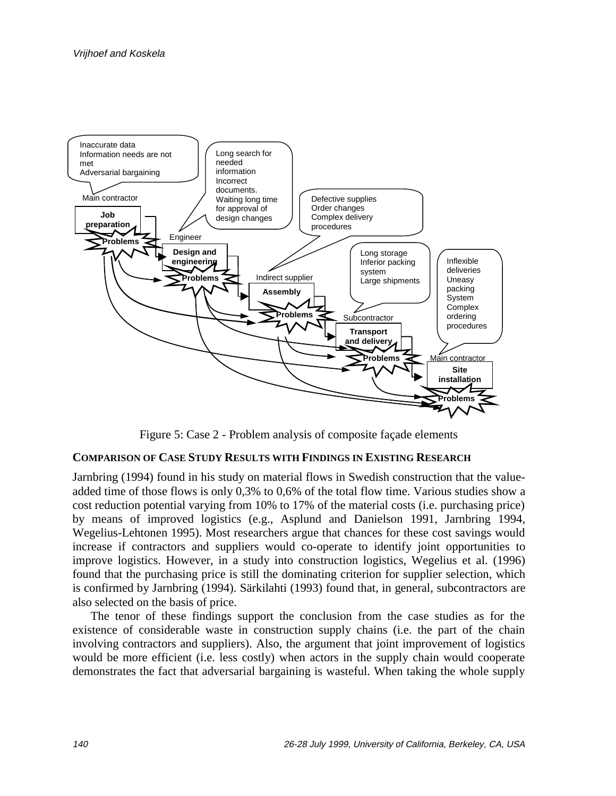

Figure 5: Case 2 - Problem analysis of composite façade elements

#### **COMPARISON OF CASE STUDY RESULTS WITH FINDINGS IN EXISTING RESEARCH**

Jarnbring (1994) found in his study on material flows in Swedish construction that the valueadded time of those flows is only 0,3% to 0,6% of the total flow time. Various studies show a cost reduction potential varying from 10% to 17% of the material costs (i.e. purchasing price) by means of improved logistics (e.g., Asplund and Danielson 1991, Jarnbring 1994, Wegelius-Lehtonen 1995). Most researchers argue that chances for these cost savings would increase if contractors and suppliers would co-operate to identify joint opportunities to improve logistics. However, in a study into construction logistics, Wegelius et al. (1996) found that the purchasing price is still the dominating criterion for supplier selection, which is confirmed by Jarnbring (1994). Särkilahti (1993) found that, in general, subcontractors are also selected on the basis of price.

The tenor of these findings support the conclusion from the case studies as for the existence of considerable waste in construction supply chains (i.e. the part of the chain involving contractors and suppliers). Also, the argument that joint improvement of logistics would be more efficient (i.e. less costly) when actors in the supply chain would cooperate demonstrates the fact that adversarial bargaining is wasteful. When taking the whole supply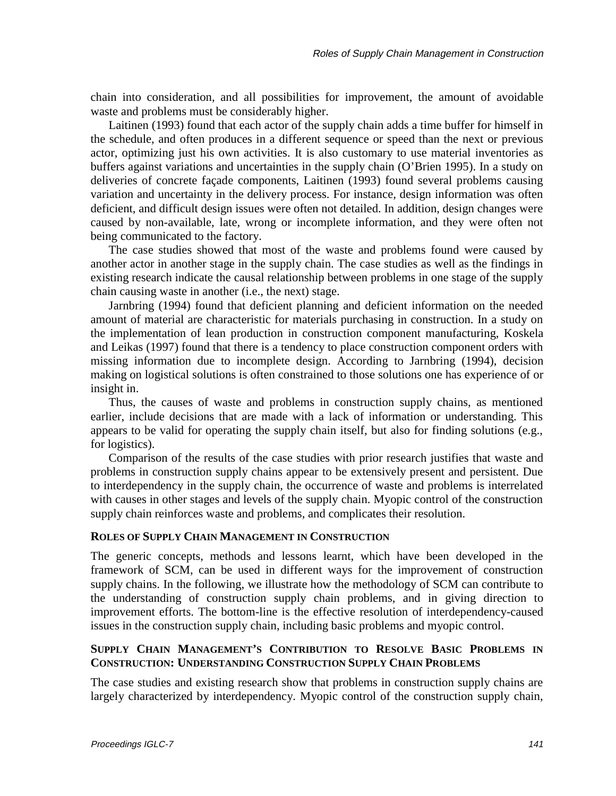chain into consideration, and all possibilities for improvement, the amount of avoidable waste and problems must be considerably higher.

Laitinen (1993) found that each actor of the supply chain adds a time buffer for himself in the schedule, and often produces in a different sequence or speed than the next or previous actor, optimizing just his own activities. It is also customary to use material inventories as buffers against variations and uncertainties in the supply chain (O'Brien 1995). In a study on deliveries of concrete façade components, Laitinen (1993) found several problems causing variation and uncertainty in the delivery process. For instance, design information was often deficient, and difficult design issues were often not detailed. In addition, design changes were caused by non-available, late, wrong or incomplete information, and they were often not being communicated to the factory.

The case studies showed that most of the waste and problems found were caused by another actor in another stage in the supply chain. The case studies as well as the findings in existing research indicate the causal relationship between problems in one stage of the supply chain causing waste in another (i.e., the next) stage.

Jarnbring (1994) found that deficient planning and deficient information on the needed amount of material are characteristic for materials purchasing in construction. In a study on the implementation of lean production in construction component manufacturing, Koskela and Leikas (1997) found that there is a tendency to place construction component orders with missing information due to incomplete design. According to Jarnbring (1994), decision making on logistical solutions is often constrained to those solutions one has experience of or insight in.

Thus, the causes of waste and problems in construction supply chains, as mentioned earlier, include decisions that are made with a lack of information or understanding. This appears to be valid for operating the supply chain itself, but also for finding solutions (e.g., for logistics).

Comparison of the results of the case studies with prior research justifies that waste and problems in construction supply chains appear to be extensively present and persistent. Due to interdependency in the supply chain, the occurrence of waste and problems is interrelated with causes in other stages and levels of the supply chain. Myopic control of the construction supply chain reinforces waste and problems, and complicates their resolution.

#### **ROLES OF SUPPLY CHAIN MANAGEMENT IN CONSTRUCTION**

The generic concepts, methods and lessons learnt, which have been developed in the framework of SCM, can be used in different ways for the improvement of construction supply chains. In the following, we illustrate how the methodology of SCM can contribute to the understanding of construction supply chain problems, and in giving direction to improvement efforts. The bottom-line is the effective resolution of interdependency-caused issues in the construction supply chain, including basic problems and myopic control.

## **SUPPLY CHAIN MANAGEMENT'S CONTRIBUTION TO RESOLVE BASIC PROBLEMS IN CONSTRUCTION: UNDERSTANDING CONSTRUCTION SUPPLY CHAIN PROBLEMS**

The case studies and existing research show that problems in construction supply chains are largely characterized by interdependency. Myopic control of the construction supply chain,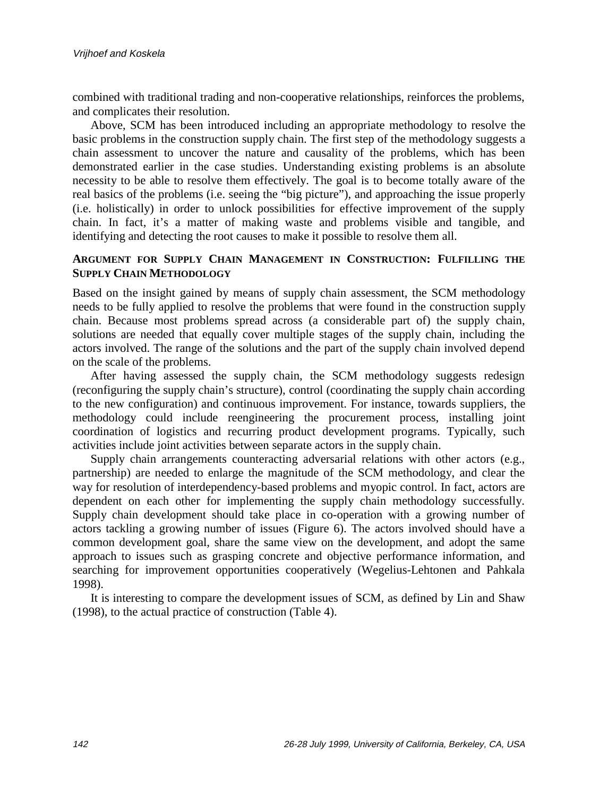combined with traditional trading and non-cooperative relationships, reinforces the problems, and complicates their resolution.

Above, SCM has been introduced including an appropriate methodology to resolve the basic problems in the construction supply chain. The first step of the methodology suggests a chain assessment to uncover the nature and causality of the problems, which has been demonstrated earlier in the case studies. Understanding existing problems is an absolute necessity to be able to resolve them effectively. The goal is to become totally aware of the real basics of the problems (i.e. seeing the "big picture"), and approaching the issue properly (i.e. holistically) in order to unlock possibilities for effective improvement of the supply chain. In fact, it's a matter of making waste and problems visible and tangible, and identifying and detecting the root causes to make it possible to resolve them all.

## **ARGUMENT FOR SUPPLY CHAIN MANAGEMENT IN CONSTRUCTION: FULFILLING THE SUPPLY CHAIN METHODOLOGY**

Based on the insight gained by means of supply chain assessment, the SCM methodology needs to be fully applied to resolve the problems that were found in the construction supply chain. Because most problems spread across (a considerable part of) the supply chain, solutions are needed that equally cover multiple stages of the supply chain, including the actors involved. The range of the solutions and the part of the supply chain involved depend on the scale of the problems.

After having assessed the supply chain, the SCM methodology suggests redesign (reconfiguring the supply chain's structure), control (coordinating the supply chain according to the new configuration) and continuous improvement. For instance, towards suppliers, the methodology could include reengineering the procurement process, installing joint coordination of logistics and recurring product development programs. Typically, such activities include joint activities between separate actors in the supply chain.

Supply chain arrangements counteracting adversarial relations with other actors (e.g., partnership) are needed to enlarge the magnitude of the SCM methodology, and clear the way for resolution of interdependency-based problems and myopic control. In fact, actors are dependent on each other for implementing the supply chain methodology successfully. Supply chain development should take place in co-operation with a growing number of actors tackling a growing number of issues (Figure 6). The actors involved should have a common development goal, share the same view on the development, and adopt the same approach to issues such as grasping concrete and objective performance information, and searching for improvement opportunities cooperatively (Wegelius-Lehtonen and Pahkala 1998).

It is interesting to compare the development issues of SCM, as defined by Lin and Shaw (1998), to the actual practice of construction (Table 4).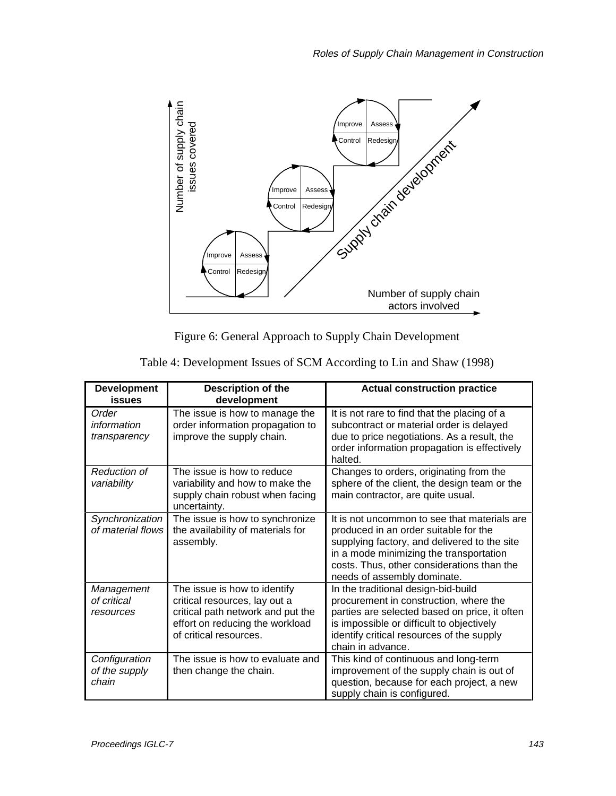

Figure 6: General Approach to Supply Chain Development

| <b>Development</b><br>issues            | <b>Description of the</b><br>development                                                                                                                        | <b>Actual construction practice</b>                                                                                                                                                                                                                           |
|-----------------------------------------|-----------------------------------------------------------------------------------------------------------------------------------------------------------------|---------------------------------------------------------------------------------------------------------------------------------------------------------------------------------------------------------------------------------------------------------------|
| Order<br>information<br>transparency    | The issue is how to manage the<br>order information propagation to<br>improve the supply chain.                                                                 | It is not rare to find that the placing of a<br>subcontract or material order is delayed<br>due to price negotiations. As a result, the<br>order information propagation is effectively<br>halted.                                                            |
| <b>Reduction of</b><br>variability      | The issue is how to reduce<br>variability and how to make the<br>supply chain robust when facing<br>uncertainty.                                                | Changes to orders, originating from the<br>sphere of the client, the design team or the<br>main contractor, are quite usual.                                                                                                                                  |
| Synchronization<br>of material flows    | The issue is how to synchronize<br>the availability of materials for<br>assembly.                                                                               | It is not uncommon to see that materials are<br>produced in an order suitable for the<br>supplying factory, and delivered to the site<br>in a mode minimizing the transportation<br>costs. Thus, other considerations than the<br>needs of assembly dominate. |
| Management<br>of critical<br>resources  | The issue is how to identify<br>critical resources, lay out a<br>critical path network and put the<br>effort on reducing the workload<br>of critical resources. | In the traditional design-bid-build<br>procurement in construction, where the<br>parties are selected based on price, it often<br>is impossible or difficult to objectively<br>identify critical resources of the supply<br>chain in advance.                 |
| Configuration<br>of the supply<br>chain | The issue is how to evaluate and<br>then change the chain.                                                                                                      | This kind of continuous and long-term<br>improvement of the supply chain is out of<br>question, because for each project, a new<br>supply chain is configured.                                                                                                |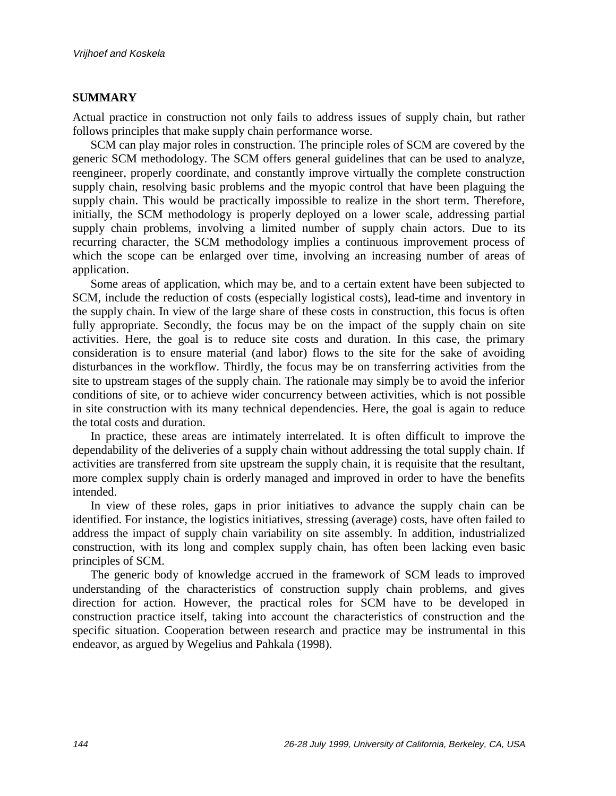## **SUMMARY**

Actual practice in construction not only fails to address issues of supply chain, but rather follows principles that make supply chain performance worse.

SCM can play major roles in construction. The principle roles of SCM are covered by the generic SCM methodology. The SCM offers general guidelines that can be used to analyze, reengineer, properly coordinate, and constantly improve virtually the complete construction supply chain, resolving basic problems and the myopic control that have been plaguing the supply chain. This would be practically impossible to realize in the short term. Therefore, initially, the SCM methodology is properly deployed on a lower scale, addressing partial supply chain problems, involving a limited number of supply chain actors. Due to its recurring character, the SCM methodology implies a continuous improvement process of which the scope can be enlarged over time, involving an increasing number of areas of application.

Some areas of application, which may be, and to a certain extent have been subjected to SCM, include the reduction of costs (especially logistical costs), lead-time and inventory in the supply chain. In view of the large share of these costs in construction, this focus is often fully appropriate. Secondly, the focus may be on the impact of the supply chain on site activities. Here, the goal is to reduce site costs and duration. In this case, the primary consideration is to ensure material (and labor) flows to the site for the sake of avoiding disturbances in the workflow. Thirdly, the focus may be on transferring activities from the site to upstream stages of the supply chain. The rationale may simply be to avoid the inferior conditions of site, or to achieve wider concurrency between activities, which is not possible in site construction with its many technical dependencies. Here, the goal is again to reduce the total costs and duration.

In practice, these areas are intimately interrelated. It is often difficult to improve the dependability of the deliveries of a supply chain without addressing the total supply chain. If activities are transferred from site upstream the supply chain, it is requisite that the resultant, more complex supply chain is orderly managed and improved in order to have the benefits intended.

In view of these roles, gaps in prior initiatives to advance the supply chain can be identified. For instance, the logistics initiatives, stressing (average) costs, have often failed to address the impact of supply chain variability on site assembly. In addition, industrialized construction, with its long and complex supply chain, has often been lacking even basic principles of SCM.

The generic body of knowledge accrued in the framework of SCM leads to improved understanding of the characteristics of construction supply chain problems, and gives direction for action. However, the practical roles for SCM have to be developed in construction practice itself, taking into account the characteristics of construction and the specific situation. Cooperation between research and practice may be instrumental in this endeavor, as argued by Wegelius and Pahkala (1998).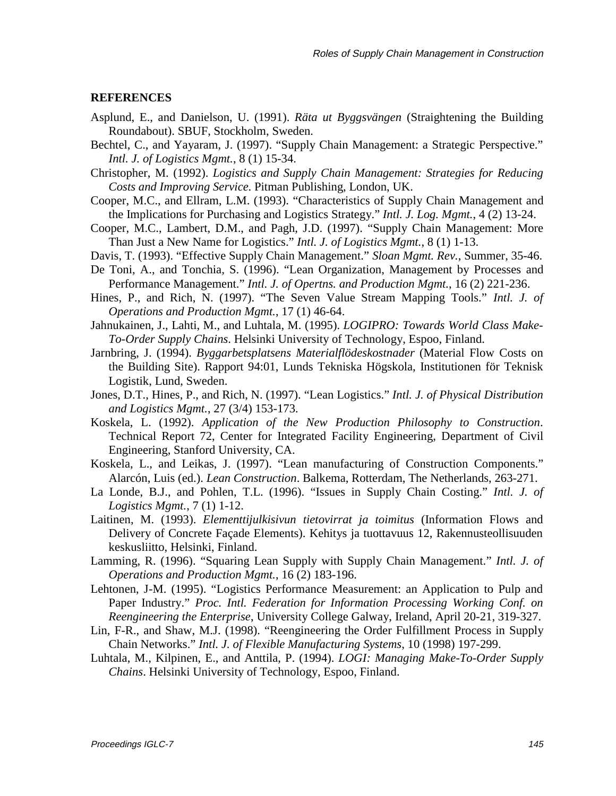#### **REFERENCES**

- Asplund, E., and Danielson, U. (1991). *Räta ut Byggsvängen* (Straightening the Building Roundabout). SBUF, Stockholm, Sweden.
- Bechtel, C., and Yayaram, J. (1997). "Supply Chain Management: a Strategic Perspective." *Intl. J. of Logistics Mgmt.*, 8 (1) 15-34.
- Christopher, M. (1992). *Logistics and Supply Chain Management: Strategies for Reducing Costs and Improving Service*. Pitman Publishing, London, UK.
- Cooper, M.C., and Ellram, L.M. (1993). "Characteristics of Supply Chain Management and the Implications for Purchasing and Logistics Strategy." *Intl. J. Log. Mgmt.*, 4 (2) 13-24.
- Cooper, M.C., Lambert, D.M., and Pagh, J.D. (1997). "Supply Chain Management: More Than Just a New Name for Logistics." *Intl. J. of Logistics Mgmt.*, 8 (1) 1-13.
- Davis, T. (1993). "Effective Supply Chain Management." *Sloan Mgmt. Rev.*, Summer, 35-46.
- De Toni, A., and Tonchia, S. (1996). "Lean Organization, Management by Processes and Performance Management." *Intl. J. of Opertns. and Production Mgmt.*, 16 (2) 221-236.
- Hines, P., and Rich, N. (1997). "The Seven Value Stream Mapping Tools." *Intl. J. of Operations and Production Mgmt.*, 17 (1) 46-64.
- Jahnukainen, J., Lahti, M., and Luhtala, M. (1995). *LOGIPRO: Towards World Class Make-To-Order Supply Chains*. Helsinki University of Technology, Espoo, Finland.
- Jarnbring, J. (1994). *Byggarbetsplatsens Materialflödeskostnader* (Material Flow Costs on the Building Site). Rapport 94:01, Lunds Tekniska Högskola, Institutionen för Teknisk Logistik, Lund, Sweden.
- Jones, D.T., Hines, P., and Rich, N. (1997). "Lean Logistics." *Intl. J. of Physical Distribution and Logistics Mgmt.*, 27 (3/4) 153-173.
- Koskela, L. (1992). *Application of the New Production Philosophy to Construction*. Technical Report 72, Center for Integrated Facility Engineering, Department of Civil Engineering, Stanford University, CA.
- Koskela, L., and Leikas, J. (1997). "Lean manufacturing of Construction Components." Alarcón, Luis (ed.). *Lean Construction*. Balkema, Rotterdam, The Netherlands, 263-271.
- La Londe, B.J., and Pohlen, T.L. (1996). "Issues in Supply Chain Costing." *Intl. J. of Logistics Mgmt.*, 7 (1) 1-12.
- Laitinen, M. (1993). *Elementtijulkisivun tietovirrat ja toimitus* (Information Flows and Delivery of Concrete Façade Elements). Kehitys ja tuottavuus 12, Rakennusteollisuuden keskusliitto, Helsinki, Finland.
- Lamming, R. (1996). "Squaring Lean Supply with Supply Chain Management." *Intl. J. of Operations and Production Mgmt.*, 16 (2) 183-196.
- Lehtonen, J-M. (1995). "Logistics Performance Measurement: an Application to Pulp and Paper Industry." *Proc. Intl. Federation for Information Processing Working Conf. on Reengineering the Enterprise*, University College Galway, Ireland, April 20-21, 319-327.
- Lin, F-R., and Shaw, M.J. (1998). "Reengineering the Order Fulfillment Process in Supply Chain Networks." *Intl. J. of Flexible Manufacturing Systems*, 10 (1998) 197-299.
- Luhtala, M., Kilpinen, E., and Anttila, P. (1994). *LOGI: Managing Make-To-Order Supply Chains*. Helsinki University of Technology, Espoo, Finland.